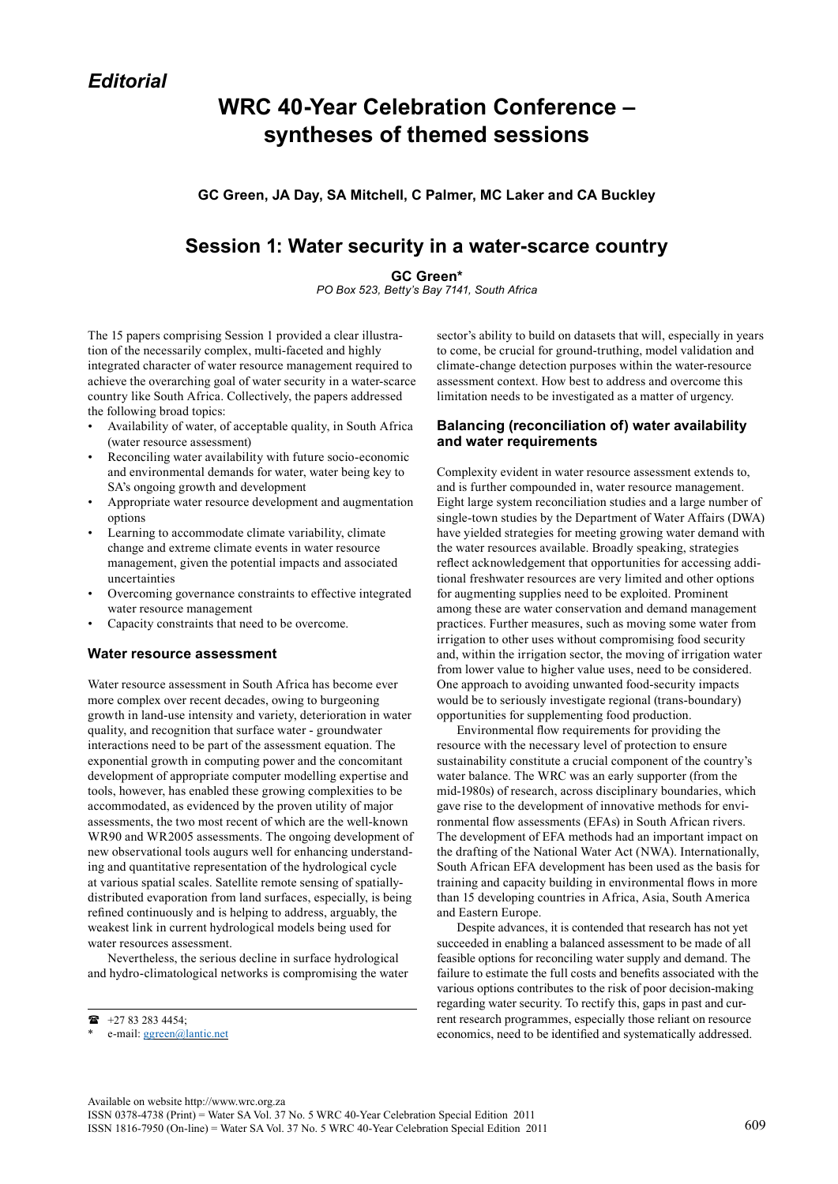# **WRC 40-Year Celebration Conference – syntheses of themed sessions**

**GC Green, JA Day, SA Mitchell, C Palmer, MC Laker and CA Buckley**

## **Session 1: Water security in a water-scarce country**

**GC Green\*** 

*PO Box 523, Betty's Bay 7141, South Africa* 

The 15 papers comprising Session 1 provided a clear illustration of the necessarily complex, multi-faceted and highly integrated character of water resource management required to achieve the overarching goal of water security in a water-scarce country like South Africa. Collectively, the papers addressed the following broad topics:

- Availability of water, of acceptable quality, in South Africa (water resource assessment)
- Reconciling water availability with future socio-economic and environmental demands for water, water being key to SA's ongoing growth and development
- Appropriate water resource development and augmentation options
- Learning to accommodate climate variability, climate change and extreme climate events in water resource management, given the potential impacts and associated uncertainties
- Overcoming governance constraints to effective integrated water resource management
- Capacity constraints that need to be overcome.

#### **Water resource assessment**

Water resource assessment in South Africa has become ever more complex over recent decades, owing to burgeoning growth in land-use intensity and variety, deterioration in water quality, and recognition that surface water - groundwater interactions need to be part of the assessment equation. The exponential growth in computing power and the concomitant development of appropriate computer modelling expertise and tools, however, has enabled these growing complexities to be accommodated, as evidenced by the proven utility of major assessments, the two most recent of which are the well-known WR90 and WR2005 assessments. The ongoing development of new observational tools augurs well for enhancing understanding and quantitative representation of the hydrological cycle at various spatial scales. Satellite remote sensing of spatiallydistributed evaporation from land surfaces, especially, is being refined continuously and is helping to address, arguably, the weakest link in current hydrological models being used for water resources assessment.

Nevertheless, the serious decline in surface hydrological and hydro-climatological networks is compromising the water sector's ability to build on datasets that will, especially in years to come, be crucial for ground-truthing, model validation and climate-change detection purposes within the water-resource assessment context. How best to address and overcome this limitation needs to be investigated as a matter of urgency.

#### **Balancing (reconciliation of) water availability and water requirements**

Complexity evident in water resource assessment extends to, and is further compounded in, water resource management. Eight large system reconciliation studies and a large number of single-town studies by the Department of Water Affairs (DWA) have yielded strategies for meeting growing water demand with the water resources available. Broadly speaking, strategies reflect acknowledgement that opportunities for accessing additional freshwater resources are very limited and other options for augmenting supplies need to be exploited. Prominent among these are water conservation and demand management practices. Further measures, such as moving some water from irrigation to other uses without compromising food security and, within the irrigation sector, the moving of irrigation water from lower value to higher value uses, need to be considered. One approach to avoiding unwanted food-security impacts would be to seriously investigate regional (trans-boundary) opportunities for supplementing food production.

Environmental flow requirements for providing the resource with the necessary level of protection to ensure sustainability constitute a crucial component of the country's water balance. The WRC was an early supporter (from the mid-1980s) of research, across disciplinary boundaries, which gave rise to the development of innovative methods for environmental flow assessments (EFAs) in South African rivers. The development of EFA methods had an important impact on the drafting of the National Water Act (NWA). Internationally, South African EFA development has been used as the basis for training and capacity building in environmental flows in more than 15 developing countries in Africa, Asia, South America and Eastern Europe.

Despite advances, it is contended that research has not yet succeeded in enabling a balanced assessment to be made of all feasible options for reconciling water supply and demand. The failure to estimate the full costs and benefits associated with the various options contributes to the risk of poor decision-making regarding water security. To rectify this, gaps in past and current research programmes, especially those reliant on resource economics, need to be identified and systematically addressed.

 $\bullet$  +27 83 283 4454;

e-mail: [ggreen@lantic.net](mailto:ggreen@lantic.net)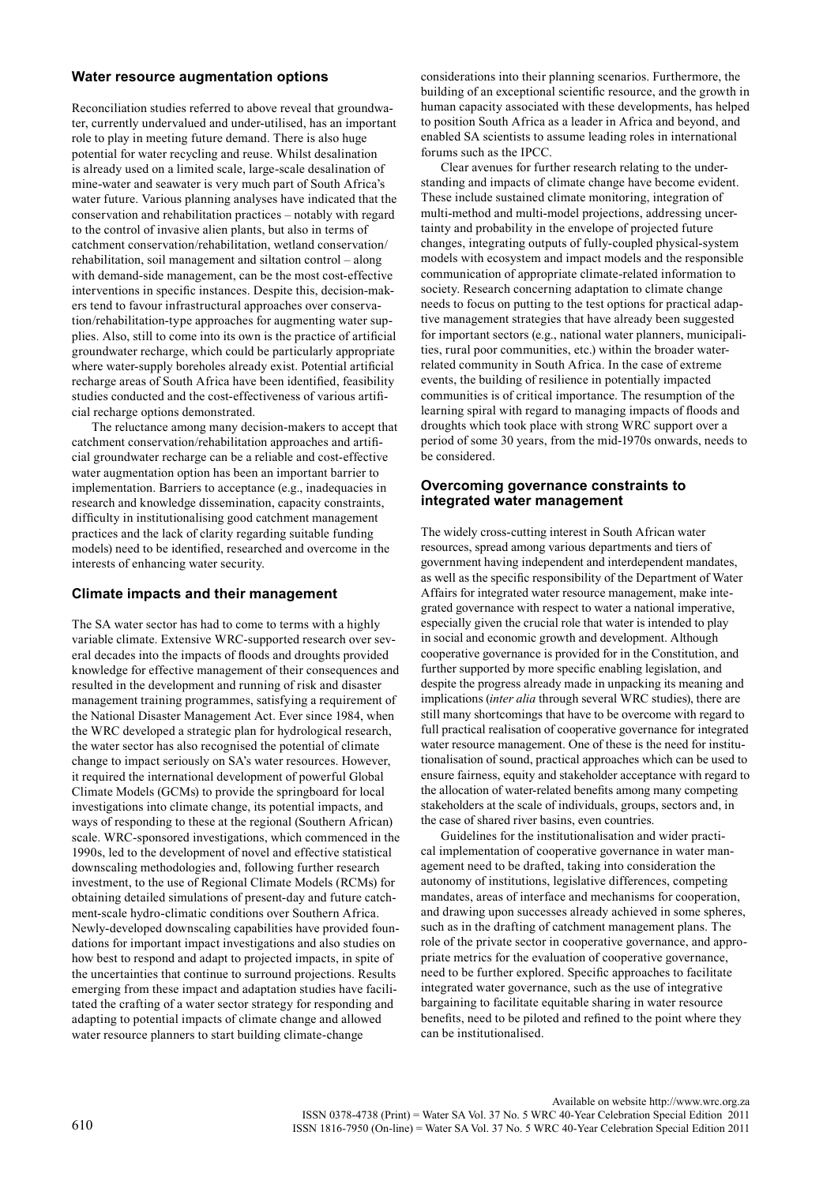#### **Water resource augmentation options**

Reconciliation studies referred to above reveal that groundwater, currently undervalued and under-utilised, has an important role to play in meeting future demand. There is also huge potential for water recycling and reuse. Whilst desalination is already used on a limited scale, large-scale desalination of mine-water and seawater is very much part of South Africa's water future. Various planning analyses have indicated that the conservation and rehabilitation practices – notably with regard to the control of invasive alien plants, but also in terms of catchment conservation/rehabilitation, wetland conservation/ rehabilitation, soil management and siltation control – along with demand-side management, can be the most cost-effective interventions in specific instances. Despite this, decision-makers tend to favour infrastructural approaches over conservation/rehabilitation-type approaches for augmenting water supplies. Also, still to come into its own is the practice of artificial groundwater recharge, which could be particularly appropriate where water-supply boreholes already exist. Potential artificial recharge areas of South Africa have been identified, feasibility studies conducted and the cost-effectiveness of various artificial recharge options demonstrated.

The reluctance among many decision-makers to accept that catchment conservation/rehabilitation approaches and artificial groundwater recharge can be a reliable and cost-effective water augmentation option has been an important barrier to implementation. Barriers to acceptance (e.g., inadequacies in research and knowledge dissemination, capacity constraints, difficulty in institutionalising good catchment management practices and the lack of clarity regarding suitable funding models) need to be identified, researched and overcome in the interests of enhancing water security.

### **Climate impacts and their management**

The SA water sector has had to come to terms with a highly variable climate. Extensive WRC-supported research over several decades into the impacts of floods and droughts provided knowledge for effective management of their consequences and resulted in the development and running of risk and disaster management training programmes, satisfying a requirement of the National Disaster Management Act. Ever since 1984, when the WRC developed a strategic plan for hydrological research, the water sector has also recognised the potential of climate change to impact seriously on SA's water resources. However, it required the international development of powerful Global Climate Models (GCMs) to provide the springboard for local investigations into climate change, its potential impacts, and ways of responding to these at the regional (Southern African) scale. WRC-sponsored investigations, which commenced in the 1990s, led to the development of novel and effective statistical downscaling methodologies and, following further research investment, to the use of Regional Climate Models (RCMs) for obtaining detailed simulations of present-day and future catchment-scale hydro-climatic conditions over Southern Africa. Newly-developed downscaling capabilities have provided foundations for important impact investigations and also studies on how best to respond and adapt to projected impacts, in spite of the uncertainties that continue to surround projections. Results emerging from these impact and adaptation studies have facilitated the crafting of a water sector strategy for responding and adapting to potential impacts of climate change and allowed water resource planners to start building climate-change

considerations into their planning scenarios. Furthermore, the building of an exceptional scientific resource, and the growth in human capacity associated with these developments, has helped to position South Africa as a leader in Africa and beyond, and enabled SA scientists to assume leading roles in international forums such as the IPCC.

Clear avenues for further research relating to the understanding and impacts of climate change have become evident. These include sustained climate monitoring, integration of multi-method and multi-model projections, addressing uncertainty and probability in the envelope of projected future changes, integrating outputs of fully-coupled physical-system models with ecosystem and impact models and the responsible communication of appropriate climate-related information to society. Research concerning adaptation to climate change needs to focus on putting to the test options for practical adaptive management strategies that have already been suggested for important sectors (e.g., national water planners, municipalities, rural poor communities, etc.) within the broader waterrelated community in South Africa. In the case of extreme events, the building of resilience in potentially impacted communities is of critical importance. The resumption of the learning spiral with regard to managing impacts of floods and droughts which took place with strong WRC support over a period of some 30 years, from the mid-1970s onwards, needs to be considered.

#### **Overcoming governance constraints to integrated water management**

The widely cross-cutting interest in South African water resources, spread among various departments and tiers of government having independent and interdependent mandates, as well as the specific responsibility of the Department of Water Affairs for integrated water resource management, make integrated governance with respect to water a national imperative, especially given the crucial role that water is intended to play in social and economic growth and development. Although cooperative governance is provided for in the Constitution, and further supported by more specific enabling legislation, and despite the progress already made in unpacking its meaning and implications (*inter alia* through several WRC studies), there are still many shortcomings that have to be overcome with regard to full practical realisation of cooperative governance for integrated water resource management. One of these is the need for institutionalisation of sound, practical approaches which can be used to ensure fairness, equity and stakeholder acceptance with regard to the allocation of water-related benefits among many competing stakeholders at the scale of individuals, groups, sectors and, in the case of shared river basins, even countries.

Guidelines for the institutionalisation and wider practical implementation of cooperative governance in water management need to be drafted, taking into consideration the autonomy of institutions, legislative differences, competing mandates, areas of interface and mechanisms for cooperation, and drawing upon successes already achieved in some spheres, such as in the drafting of catchment management plans. The role of the private sector in cooperative governance, and appropriate metrics for the evaluation of cooperative governance, need to be further explored. Specific approaches to facilitate integrated water governance, such as the use of integrative bargaining to facilitate equitable sharing in water resource benefits, need to be piloted and refined to the point where they can be institutionalised.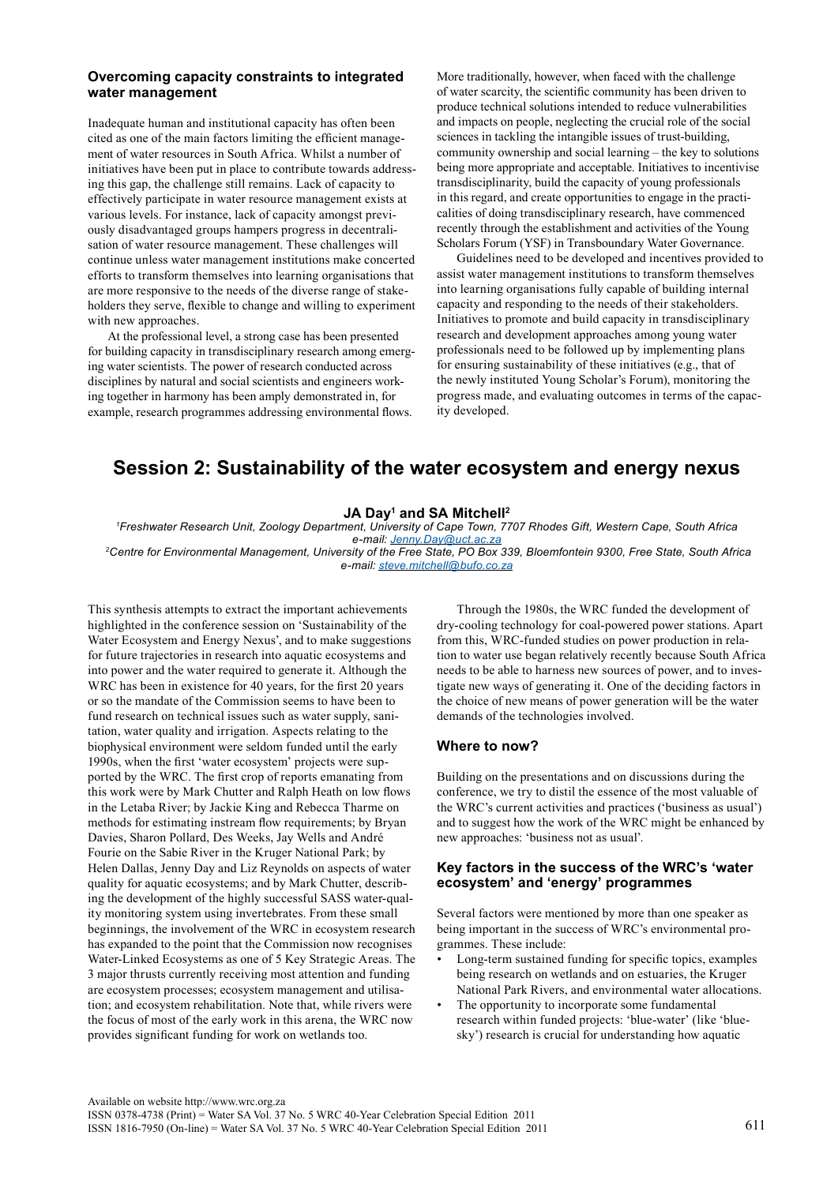#### **Overcoming capacity constraints to integrated water management**

Inadequate human and institutional capacity has often been cited as one of the main factors limiting the efficient management of water resources in South Africa. Whilst a number of initiatives have been put in place to contribute towards addressing this gap, the challenge still remains. Lack of capacity to effectively participate in water resource management exists at various levels. For instance, lack of capacity amongst previously disadvantaged groups hampers progress in decentralisation of water resource management. These challenges will continue unless water management institutions make concerted efforts to transform themselves into learning organisations that are more responsive to the needs of the diverse range of stakeholders they serve, flexible to change and willing to experiment with new approaches.

At the professional level, a strong case has been presented for building capacity in transdisciplinary research among emerging water scientists. The power of research conducted across disciplines by natural and social scientists and engineers working together in harmony has been amply demonstrated in, for example, research programmes addressing environmental flows.

More traditionally, however, when faced with the challenge of water scarcity, the scientific community has been driven to produce technical solutions intended to reduce vulnerabilities and impacts on people, neglecting the crucial role of the social sciences in tackling the intangible issues of trust-building, community ownership and social learning – the key to solutions being more appropriate and acceptable. Initiatives to incentivise transdisciplinarity, build the capacity of young professionals in this regard, and create opportunities to engage in the practicalities of doing transdisciplinary research, have commenced recently through the establishment and activities of the Young Scholars Forum (YSF) in Transboundary Water Governance.

Guidelines need to be developed and incentives provided to assist water management institutions to transform themselves into learning organisations fully capable of building internal capacity and responding to the needs of their stakeholders. Initiatives to promote and build capacity in transdisciplinary research and development approaches among young water professionals need to be followed up by implementing plans for ensuring sustainability of these initiatives (e.g., that of the newly instituted Young Scholar's Forum), monitoring the progress made, and evaluating outcomes in terms of the capacity developed.

## **Session 2: Sustainability of the water ecosystem and energy nexus**

### **JA Day1 and SA Mitchell2**

*1 Freshwater Research Unit, Zoology Department, University of Cape Town, 7707 Rhodes Gift, Western Cape, South Africa e-mail: [Jenny.Day@uct.ac.za](mailto:Jenny.Day@uct.ac.za)*

*2Centre for Environmental Management, University of the Free State, PO Box 339, Bloemfontein 9300, Free State, South Africa e-mail: [steve.mitchell@bufo.co.za](mailto:steve.mitchell@bufo.co.za)*

This synthesis attempts to extract the important achievements highlighted in the conference session on 'Sustainability of the Water Ecosystem and Energy Nexus', and to make suggestions for future trajectories in research into aquatic ecosystems and into power and the water required to generate it. Although the WRC has been in existence for 40 years, for the first 20 years or so the mandate of the Commission seems to have been to fund research on technical issues such as water supply, sanitation, water quality and irrigation. Aspects relating to the biophysical environment were seldom funded until the early 1990s, when the first 'water ecosystem' projects were supported by the WRC. The first crop of reports emanating from this work were by Mark Chutter and Ralph Heath on low flows in the Letaba River; by Jackie King and Rebecca Tharme on methods for estimating instream flow requirements; by Bryan Davies, Sharon Pollard, Des Weeks, Jay Wells and André Fourie on the Sabie River in the Kruger National Park; by Helen Dallas, Jenny Day and Liz Reynolds on aspects of water quality for aquatic ecosystems; and by Mark Chutter, describing the development of the highly successful SASS water-quality monitoring system using invertebrates. From these small beginnings, the involvement of the WRC in ecosystem research has expanded to the point that the Commission now recognises Water-Linked Ecosystems as one of 5 Key Strategic Areas. The 3 major thrusts currently receiving most attention and funding are ecosystem processes; ecosystem management and utilisation; and ecosystem rehabilitation. Note that, while rivers were the focus of most of the early work in this arena, the WRC now provides significant funding for work on wetlands too.

Through the 1980s, the WRC funded the development of dry-cooling technology for coal-powered power stations. Apart from this, WRC-funded studies on power production in relation to water use began relatively recently because South Africa needs to be able to harness new sources of power, and to investigate new ways of generating it. One of the deciding factors in the choice of new means of power generation will be the water demands of the technologies involved.

#### **Where to now?**

Building on the presentations and on discussions during the conference, we try to distil the essence of the most valuable of the WRC's current activities and practices ('business as usual') and to suggest how the work of the WRC might be enhanced by new approaches: 'business not as usual'.

#### **Key factors in the success of the WRC's 'water ecosystem' and 'energy' programmes**

Several factors were mentioned by more than one speaker as being important in the success of WRC's environmental programmes. These include:

- Long-term sustained funding for specific topics, examples being research on wetlands and on estuaries, the Kruger National Park Rivers, and environmental water allocations.
- The opportunity to incorporate some fundamental research within funded projects: 'blue-water' (like 'bluesky') research is crucial for understanding how aquatic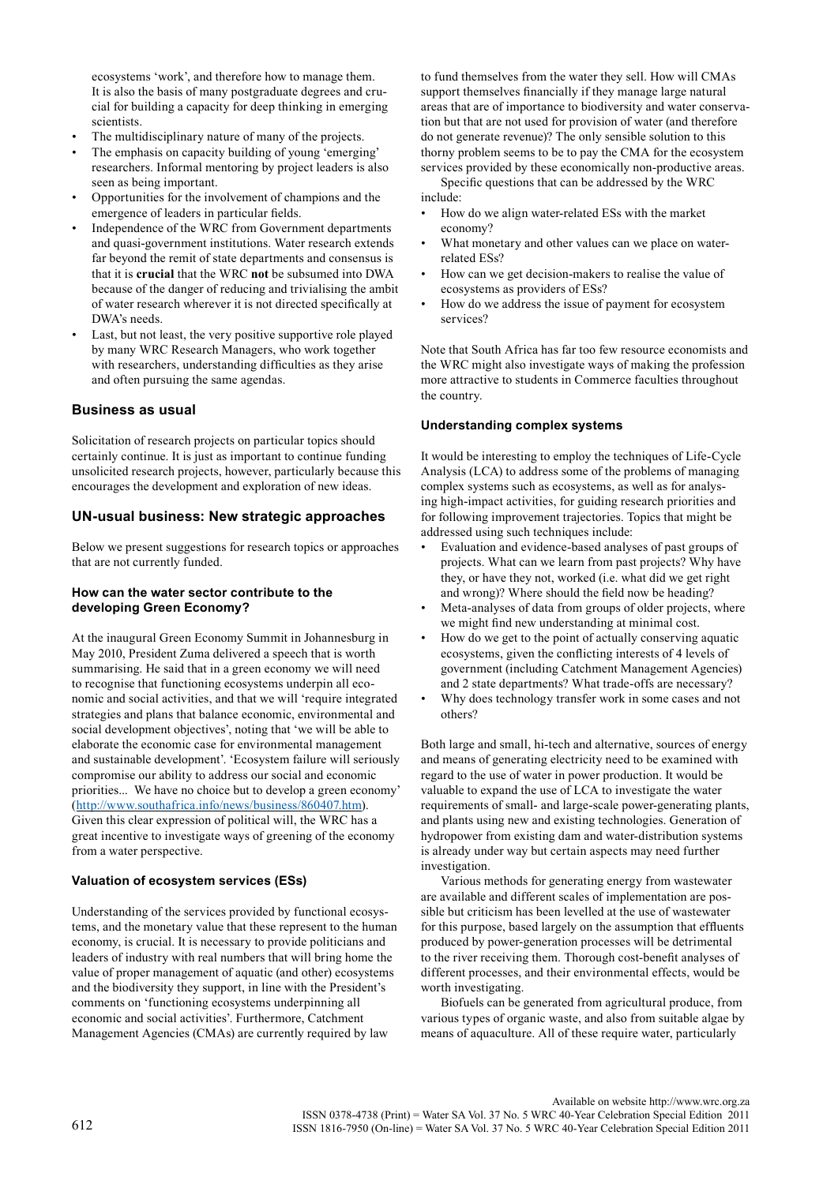ecosystems 'work', and therefore how to manage them. It is also the basis of many postgraduate degrees and crucial for building a capacity for deep thinking in emerging scientists.

- The multidisciplinary nature of many of the projects.
- The emphasis on capacity building of young 'emerging' researchers. Informal mentoring by project leaders is also seen as being important.
- Opportunities for the involvement of champions and the emergence of leaders in particular fields.
- Independence of the WRC from Government departments and quasi-government institutions. Water research extends far beyond the remit of state departments and consensus is that it is **crucial** that the WRC **not** be subsumed into DWA because of the danger of reducing and trivialising the ambit of water research wherever it is not directed specifically at DWA's needs.
- Last, but not least, the very positive supportive role played by many WRC Research Managers, who work together with researchers, understanding difficulties as they arise and often pursuing the same agendas.

## **Business as usual**

Solicitation of research projects on particular topics should certainly continue. It is just as important to continue funding unsolicited research projects, however, particularly because this encourages the development and exploration of new ideas.

## **Un-usual business: New strategic approaches**

Below we present suggestions for research topics or approaches that are not currently funded.

### **How can the water sector contribute to the developing Green Economy?**

At the inaugural Green Economy Summit in Johannesburg in May 2010, President Zuma delivered a speech that is worth summarising. He said that in a green economy we will need to recognise that functioning ecosystems underpin all economic and social activities, and that we will 'require integrated strategies and plans that balance economic, environmental and social development objectives', noting that 'we will be able to elaborate the economic case for environmental management and sustainable development'. 'Ecosystem failure will seriously compromise our ability to address our social and economic priorities... We have no choice but to develop a green economy' [\(http://www.southafrica.info/news/business/860407.htm\)](http://www.southafrica.info/news/business/860407.htm). Given this clear expression of political will, the WRC has a great incentive to investigate ways of greening of the economy from a water perspective.

### **Valuation of ecosystem services (ESs)**

Understanding of the services provided by functional ecosystems, and the monetary value that these represent to the human economy, is crucial. It is necessary to provide politicians and leaders of industry with real numbers that will bring home the value of proper management of aquatic (and other) ecosystems and the biodiversity they support, in line with the President's comments on 'functioning ecosystems underpinning all economic and social activities'. Furthermore, Catchment Management Agencies (CMAs) are currently required by law

to fund themselves from the water they sell. How will CMAs support themselves financially if they manage large natural areas that are of importance to biodiversity and water conservation but that are not used for provision of water (and therefore do not generate revenue)? The only sensible solution to this thorny problem seems to be to pay the CMA for the ecosystem services provided by these economically non-productive areas.

Specific questions that can be addressed by the WRC include:

- How do we align water-related ESs with the market economy?
- What monetary and other values can we place on waterrelated ESs?
- How can we get decision-makers to realise the value of ecosystems as providers of ESs?
- How do we address the issue of payment for ecosystem services?

Note that South Africa has far too few resource economists and the WRC might also investigate ways of making the profession more attractive to students in Commerce faculties throughout the country.

#### **Understanding complex systems**

It would be interesting to employ the techniques of Life-Cycle Analysis (LCA) to address some of the problems of managing complex systems such as ecosystems, as well as for analysing high-impact activities, for guiding research priorities and for following improvement trajectories. Topics that might be addressed using such techniques include:

- Evaluation and evidence-based analyses of past groups of projects. What can we learn from past projects? Why have they, or have they not, worked (i.e. what did we get right and wrong)? Where should the field now be heading?
- Meta-analyses of data from groups of older projects, where we might find new understanding at minimal cost.
- How do we get to the point of actually conserving aquatic ecosystems, given the conflicting interests of 4 levels of government (including Catchment Management Agencies) and 2 state departments? What trade-offs are necessary?
- Why does technology transfer work in some cases and not others?

Both large and small, hi-tech and alternative, sources of energy and means of generating electricity need to be examined with regard to the use of water in power production. It would be valuable to expand the use of LCA to investigate the water requirements of small- and large-scale power-generating plants, and plants using new and existing technologies. Generation of hydropower from existing dam and water-distribution systems is already under way but certain aspects may need further investigation.

Various methods for generating energy from wastewater are available and different scales of implementation are possible but criticism has been levelled at the use of wastewater for this purpose, based largely on the assumption that effluents produced by power-generation processes will be detrimental to the river receiving them. Thorough cost-benefit analyses of different processes, and their environmental effects, would be worth investigating.

Biofuels can be generated from agricultural produce, from various types of organic waste, and also from suitable algae by means of aquaculture. All of these require water, particularly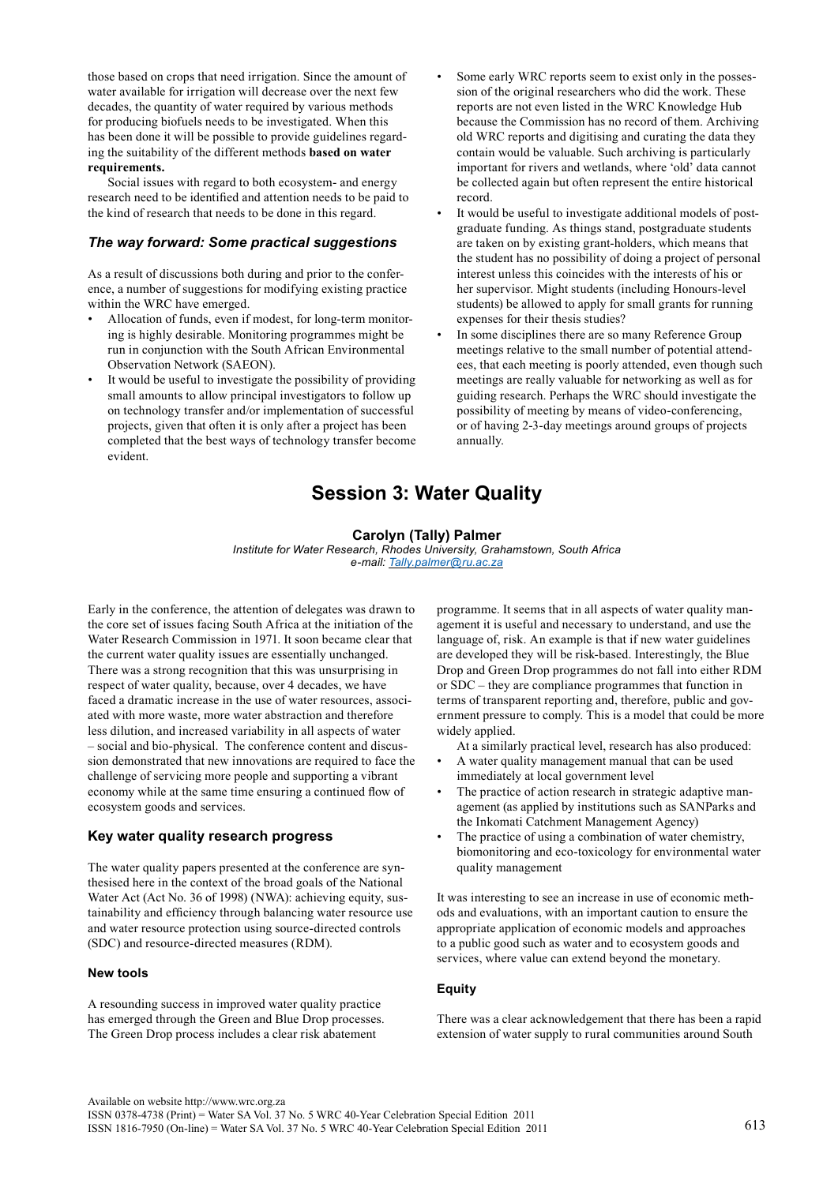those based on crops that need irrigation. Since the amount of water available for irrigation will decrease over the next few decades, the quantity of water required by various methods for producing biofuels needs to be investigated. When this has been done it will be possible to provide guidelines regarding the suitability of the different methods **based on water requirements.**

Social issues with regard to both ecosystem- and energy research need to be identified and attention needs to be paid to the kind of research that needs to be done in this regard.

## *The way forward: Some practical suggestions*

As a result of discussions both during and prior to the conference, a number of suggestions for modifying existing practice within the WRC have emerged.

- Allocation of funds, even if modest, for long-term monitoring is highly desirable. Monitoring programmes might be run in conjunction with the South African Environmental Observation Network (SAEON).
- It would be useful to investigate the possibility of providing small amounts to allow principal investigators to follow up on technology transfer and/or implementation of successful projects, given that often it is only after a project has been completed that the best ways of technology transfer become evident.
- Some early WRC reports seem to exist only in the possession of the original researchers who did the work. These reports are not even listed in the WRC Knowledge Hub because the Commission has no record of them. Archiving old WRC reports and digitising and curating the data they contain would be valuable. Such archiving is particularly important for rivers and wetlands, where 'old' data cannot be collected again but often represent the entire historical record.
- It would be useful to investigate additional models of postgraduate funding. As things stand, postgraduate students are taken on by existing grant-holders, which means that the student has no possibility of doing a project of personal interest unless this coincides with the interests of his or her supervisor. Might students (including Honours-level students) be allowed to apply for small grants for running expenses for their thesis studies?
- In some disciplines there are so many Reference Group meetings relative to the small number of potential attendees, that each meeting is poorly attended, even though such meetings are really valuable for networking as well as for guiding research. Perhaps the WRC should investigate the possibility of meeting by means of video-conferencing, or of having 2-3-day meetings around groups of projects annually.

## **Session 3: Water Quality**

### **Carolyn (Tally) Palmer**

*Institute for Water Research, Rhodes University, Grahamstown, South Africa e-mail: [Tally.palmer@ru.ac.za](mailto:Tally.palmer@ru.ac.za)*

Early in the conference, the attention of delegates was drawn to the core set of issues facing South Africa at the initiation of the Water Research Commission in 1971. It soon became clear that the current water quality issues are essentially unchanged. There was a strong recognition that this was unsurprising in respect of water quality, because, over 4 decades, we have faced a dramatic increase in the use of water resources, associated with more waste, more water abstraction and therefore less dilution, and increased variability in all aspects of water – social and bio-physical. The conference content and discussion demonstrated that new innovations are required to face the challenge of servicing more people and supporting a vibrant economy while at the same time ensuring a continued flow of ecosystem goods and services.

### **Key water quality research progress**

The water quality papers presented at the conference are synthesised here in the context of the broad goals of the National Water Act (Act No. 36 of 1998) (NWA): achieving equity, sustainability and efficiency through balancing water resource use and water resource protection using source-directed controls (SDC) and resource-directed measures (RDM).

### **New tools**

A resounding success in improved water quality practice has emerged through the Green and Blue Drop processes. The Green Drop process includes a clear risk abatement

programme. It seems that in all aspects of water quality management it is useful and necessary to understand, and use the language of, risk. An example is that if new water guidelines are developed they will be risk-based. Interestingly, the Blue Drop and Green Drop programmes do not fall into either RDM or SDC – they are compliance programmes that function in terms of transparent reporting and, therefore, public and government pressure to comply. This is a model that could be more widely applied.

At a similarly practical level, research has also produced: • A water quality management manual that can be used

- immediately at local government level
- The practice of action research in strategic adaptive management (as applied by institutions such as SANParks and the Inkomati Catchment Management Agency)
- The practice of using a combination of water chemistry, biomonitoring and eco-toxicology for environmental water quality management

It was interesting to see an increase in use of economic methods and evaluations, with an important caution to ensure the appropriate application of economic models and approaches to a public good such as water and to ecosystem goods and services, where value can extend beyond the monetary.

### **Equity**

There was a clear acknowledgement that there has been a rapid extension of water supply to rural communities around South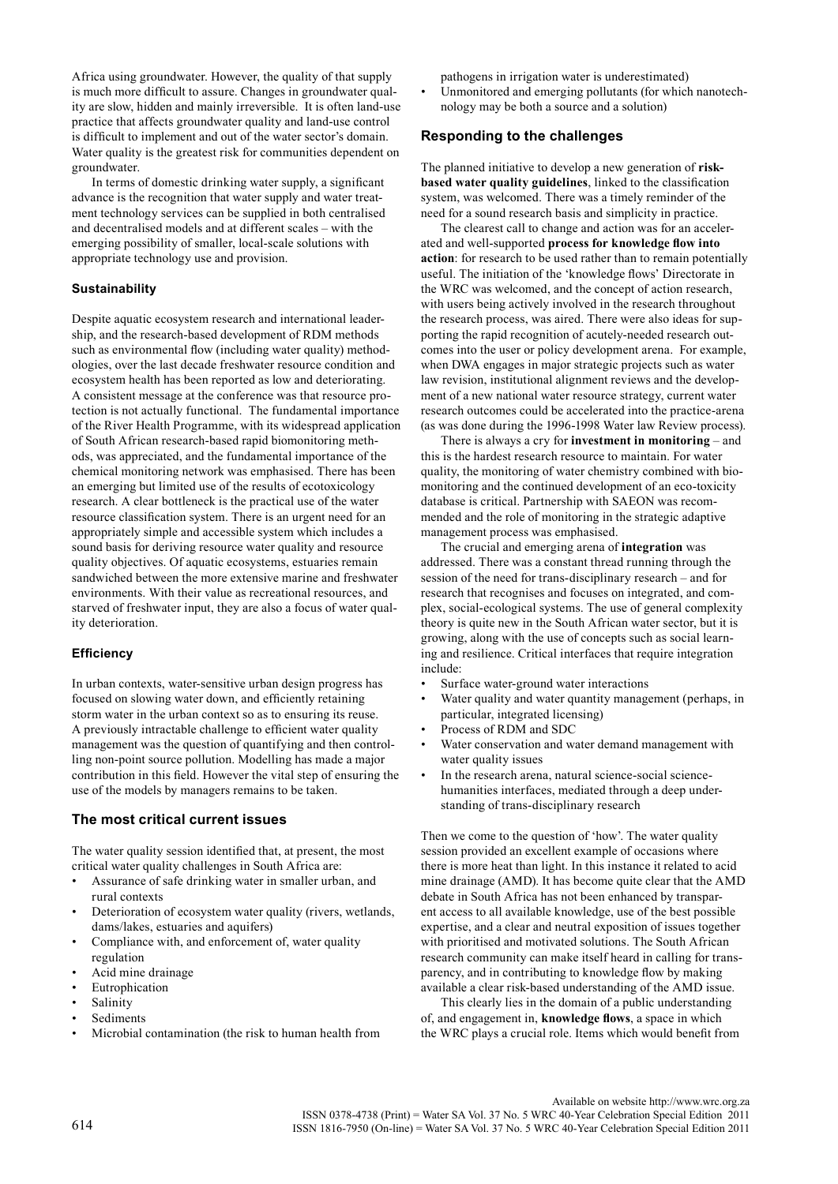Africa using groundwater. However, the quality of that supply is much more difficult to assure. Changes in groundwater quality are slow, hidden and mainly irreversible. It is often land-use practice that affects groundwater quality and land-use control is difficult to implement and out of the water sector's domain. Water quality is the greatest risk for communities dependent on groundwater.

In terms of domestic drinking water supply, a significant advance is the recognition that water supply and water treatment technology services can be supplied in both centralised and decentralised models and at different scales – with the emerging possibility of smaller, local-scale solutions with appropriate technology use and provision.

#### **Sustainability**

Despite aquatic ecosystem research and international leadership, and the research-based development of RDM methods such as environmental flow (including water quality) methodologies, over the last decade freshwater resource condition and ecosystem health has been reported as low and deteriorating. A consistent message at the conference was that resource protection is not actually functional. The fundamental importance of the River Health Programme, with its widespread application of South African research-based rapid biomonitoring methods, was appreciated, and the fundamental importance of the chemical monitoring network was emphasised. There has been an emerging but limited use of the results of ecotoxicology research. A clear bottleneck is the practical use of the water resource classification system. There is an urgent need for an appropriately simple and accessible system which includes a sound basis for deriving resource water quality and resource quality objectives. Of aquatic ecosystems, estuaries remain sandwiched between the more extensive marine and freshwater environments. With their value as recreational resources, and starved of freshwater input, they are also a focus of water quality deterioration.

### **Efficiency**

In urban contexts, water-sensitive urban design progress has focused on slowing water down, and efficiently retaining storm water in the urban context so as to ensuring its reuse. A previously intractable challenge to efficient water quality management was the question of quantifying and then controlling non-point source pollution. Modelling has made a major contribution in this field. However the vital step of ensuring the use of the models by managers remains to be taken.

### **The most critical current issues**

The water quality session identified that, at present, the most critical water quality challenges in South Africa are:

- Assurance of safe drinking water in smaller urban, and rural contexts
- Deterioration of ecosystem water quality (rivers, wetlands, dams/lakes, estuaries and aquifers)
- Compliance with, and enforcement of, water quality regulation
- Acid mine drainage
- **Eutrophication**
- **Salinity**
- **Sediments**
- Microbial contamination (the risk to human health from

pathogens in irrigation water is underestimated)

Unmonitored and emerging pollutants (for which nanotechnology may be both a source and a solution)

#### **Responding to the challenges**

The planned initiative to develop a new generation of **riskbased water quality guidelines**, linked to the classification system, was welcomed. There was a timely reminder of the need for a sound research basis and simplicity in practice.

The clearest call to change and action was for an accelerated and well-supported **process for knowledge flow into action**: for research to be used rather than to remain potentially useful. The initiation of the 'knowledge flows' Directorate in the WRC was welcomed, and the concept of action research, with users being actively involved in the research throughout the research process, was aired. There were also ideas for supporting the rapid recognition of acutely-needed research outcomes into the user or policy development arena. For example, when DWA engages in major strategic projects such as water law revision, institutional alignment reviews and the development of a new national water resource strategy, current water research outcomes could be accelerated into the practice-arena (as was done during the 1996-1998 Water law Review process).

There is always a cry for **investment in monitoring** – and this is the hardest research resource to maintain. For water quality, the monitoring of water chemistry combined with biomonitoring and the continued development of an eco-toxicity database is critical. Partnership with SAEON was recommended and the role of monitoring in the strategic adaptive management process was emphasised.

The crucial and emerging arena of **integration** was addressed. There was a constant thread running through the session of the need for trans-disciplinary research – and for research that recognises and focuses on integrated, and complex, social-ecological systems. The use of general complexity theory is quite new in the South African water sector, but it is growing, along with the use of concepts such as social learning and resilience. Critical interfaces that require integration include:

- Surface water-ground water interactions
- Water quality and water quantity management (perhaps, in particular, integrated licensing)
- Process of RDM and SDC
- Water conservation and water demand management with water quality issues
- In the research arena, natural science-social sciencehumanities interfaces, mediated through a deep understanding of trans-disciplinary research

Then we come to the question of 'how'. The water quality session provided an excellent example of occasions where there is more heat than light. In this instance it related to acid mine drainage (AMD). It has become quite clear that the AMD debate in South Africa has not been enhanced by transparent access to all available knowledge, use of the best possible expertise, and a clear and neutral exposition of issues together with prioritised and motivated solutions. The South African research community can make itself heard in calling for transparency, and in contributing to knowledge flow by making available a clear risk-based understanding of the AMD issue.

This clearly lies in the domain of a public understanding of, and engagement in, **knowledge flows**, a space in which the WRC plays a crucial role. Items which would benefit from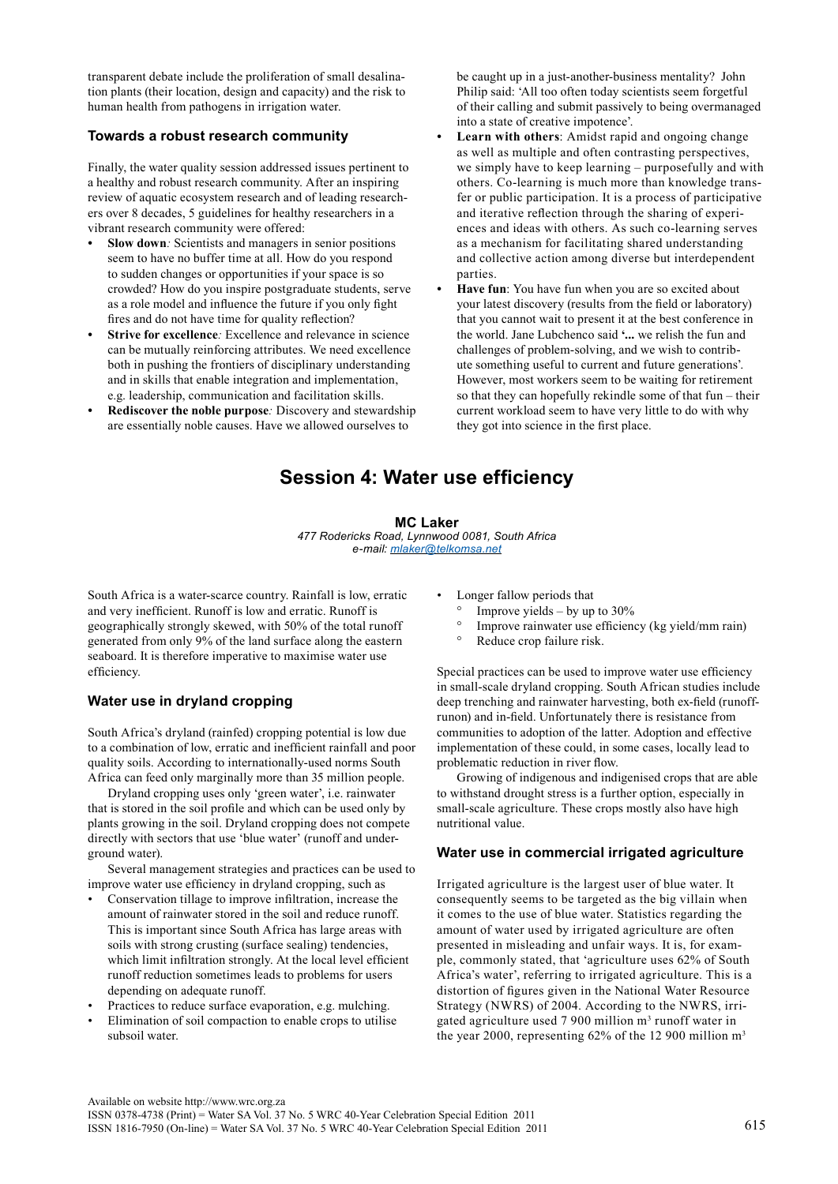transparent debate include the proliferation of small desalination plants (their location, design and capacity) and the risk to human health from pathogens in irrigation water.

### **Towards a robust research community**

Finally, the water quality session addressed issues pertinent to a healthy and robust research community. After an inspiring review of aquatic ecosystem research and of leading researchers over 8 decades, 5 guidelines for healthy researchers in a vibrant research community were offered:

- **Slow down**: Scientists and managers in senior positions seem to have no buffer time at all. How do you respond to sudden changes or opportunities if your space is so crowded? How do you inspire postgraduate students, serve as a role model and influence the future if you only fight fires and do not have time for quality reflection?
- **Strive for excellence**: Excellence and relevance in science can be mutually reinforcing attributes. We need excellence both in pushing the frontiers of disciplinary understanding and in skills that enable integration and implementation, e.g. leadership, communication and facilitation skills.
- **Rediscover the noble purpose**: Discovery and stewardship are essentially noble causes. Have we allowed ourselves to

be caught up in a just-another-business mentality? John Philip said: 'All too often today scientists seem forgetful of their calling and submit passively to being overmanaged into a state of creative impotence'.

- Learn with others: Amidst rapid and ongoing change as well as multiple and often contrasting perspectives, we simply have to keep learning – purposefully and with others. Co-learning is much more than knowledge transfer or public participation. It is a process of participative and iterative reflection through the sharing of experiences and ideas with others. As such co-learning serves as a mechanism for facilitating shared understanding and collective action among diverse but interdependent parties.
- **Have fun**: You have fun when you are so excited about your latest discovery (results from the field or laboratory) that you cannot wait to present it at the best conference in the world. Jane Lubchenco said **'...** we relish the fun and challenges of problem-solving, and we wish to contribute something useful to current and future generations'. However, most workers seem to be waiting for retirement so that they can hopefully rekindle some of that fun – their current workload seem to have very little to do with why they got into science in the first place.

## **Session 4: Water use efficiency**

#### **MC Laker**

*477 Rodericks Road, Lynnwood 0081, South Africa e-mail: [mlaker@telkomsa.net](mailto:mlaker@telkomsa.net)*

South Africa is a water-scarce country. Rainfall is low, erratic and very inefficient. Runoff is low and erratic. Runoff is geographically strongly skewed, with 50% of the total runoff generated from only 9% of the land surface along the eastern seaboard. It is therefore imperative to maximise water use efficiency.

## **Water use in dryland cropping**

South Africa's dryland (rainfed) cropping potential is low due to a combination of low, erratic and inefficient rainfall and poor quality soils. According to internationally-used norms South Africa can feed only marginally more than 35 million people.

Dryland cropping uses only 'green water', i.e. rainwater that is stored in the soil profile and which can be used only by plants growing in the soil. Dryland cropping does not compete directly with sectors that use 'blue water' (runoff and underground water).

Several management strategies and practices can be used to improve water use efficiency in dryland cropping, such as

- Conservation tillage to improve infiltration, increase the amount of rainwater stored in the soil and reduce runoff. This is important since South Africa has large areas with soils with strong crusting (surface sealing) tendencies, which limit infiltration strongly. At the local level efficient runoff reduction sometimes leads to problems for users depending on adequate runoff.
- Practices to reduce surface evaporation, e.g. mulching.
- Elimination of soil compaction to enable crops to utilise subsoil water.

Longer fallow periods that

- Improve yields by up to  $30\%$
- $\degree$  Improve rainwater use efficiency (kg yield/mm rain)<br> $\degree$  Peduce crop failure risk
- Reduce crop failure risk.

Special practices can be used to improve water use efficiency in small-scale dryland cropping. South African studies include deep trenching and rainwater harvesting, both ex-field (runoffrunon) and in-field. Unfortunately there is resistance from communities to adoption of the latter. Adoption and effective implementation of these could, in some cases, locally lead to problematic reduction in river flow.

Growing of indigenous and indigenised crops that are able to withstand drought stress is a further option, especially in small-scale agriculture. These crops mostly also have high nutritional value.

### **Water use in commercial irrigated agriculture**

Irrigated agriculture is the largest user of blue water. It consequently seems to be targeted as the big villain when it comes to the use of blue water. Statistics regarding the amount of water used by irrigated agriculture are often presented in misleading and unfair ways. It is, for example, commonly stated, that 'agriculture uses 62% of South Africa's water', referring to irrigated agriculture. This is a distortion of figures given in the National Water Resource Strategy (NWRS) of 2004. According to the NWRS, irrigated agriculture used  $7900$  million  $m<sup>3</sup>$  runoff water in the year 2000, representing 62% of the 12 900 million m<sup>3</sup>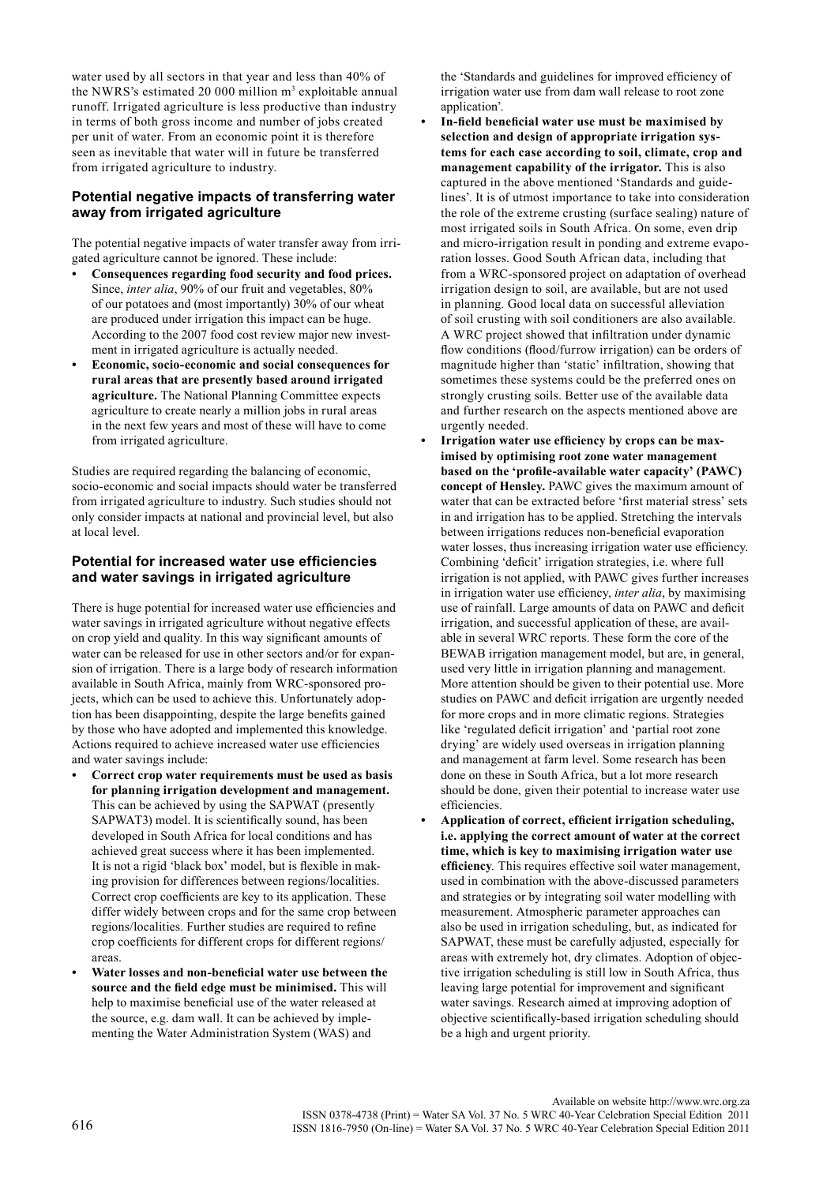water used by all sectors in that year and less than 40% of the NWRS's estimated 20 000 million  $m<sup>3</sup>$  exploitable annual runoff. Irrigated agriculture is less productive than industry in terms of both gross income and number of jobs created per unit of water. From an economic point it is therefore seen as inevitable that water will in future be transferred from irrigated agriculture to industry.

### **Potential negative impacts of transferring water away from irrigated agriculture**

The potential negative impacts of water transfer away from irrigated agriculture cannot be ignored. These include:

- **• Consequences regarding food security and food prices.** Since, *inter alia*, 90% of our fruit and vegetables, 80% of our potatoes and (most importantly) 30% of our wheat are produced under irrigation this impact can be huge. According to the 2007 food cost review major new investment in irrigated agriculture is actually needed.
- **• Economic, socio-economic and social consequences for rural areas that are presently based around irrigated agriculture.** The National Planning Committee expects agriculture to create nearly a million jobs in rural areas in the next few years and most of these will have to come from irrigated agriculture.

Studies are required regarding the balancing of economic, socio-economic and social impacts should water be transferred from irrigated agriculture to industry. Such studies should not only consider impacts at national and provincial level, but also at local level.

## **Potential for increased water use efficiencies and water savings in irrigated agriculture**

There is huge potential for increased water use efficiencies and water savings in irrigated agriculture without negative effects on crop yield and quality. In this way significant amounts of water can be released for use in other sectors and/or for expansion of irrigation. There is a large body of research information available in South Africa, mainly from WRC-sponsored projects, which can be used to achieve this. Unfortunately adoption has been disappointing, despite the large benefits gained by those who have adopted and implemented this knowledge. Actions required to achieve increased water use efficiencies and water savings include:

- **• Correct crop water requirements must be used as basis for planning irrigation development and management.** This can be achieved by using the SAPWAT (presently SAPWAT3) model. It is scientifically sound, has been developed in South Africa for local conditions and has achieved great success where it has been implemented. It is not a rigid 'black box' model, but is flexible in making provision for differences between regions/localities. Correct crop coefficients are key to its application. These differ widely between crops and for the same crop between regions/localities. Further studies are required to refine crop coefficients for different crops for different regions/ areas.
- **• Water losses and non-beneficial water use between the source and the field edge must be minimised.** This will help to maximise beneficial use of the water released at the source, e.g. dam wall. It can be achieved by implementing the Water Administration System (WAS) and

the 'Standards and guidelines for improved efficiency of irrigation water use from dam wall release to root zone application'.

- **• In-field beneficial water use must be maximised by selection and design of appropriate irrigation systems for each case according to soil, climate, crop and management capability of the irrigator.** This is also captured in the above mentioned 'Standards and guidelines'. It is of utmost importance to take into consideration the role of the extreme crusting (surface sealing) nature of most irrigated soils in South Africa. On some, even drip and micro-irrigation result in ponding and extreme evaporation losses. Good South African data, including that from a WRC-sponsored project on adaptation of overhead irrigation design to soil, are available, but are not used in planning. Good local data on successful alleviation of soil crusting with soil conditioners are also available. A WRC project showed that infiltration under dynamic flow conditions (flood/furrow irrigation) can be orders of magnitude higher than 'static' infiltration, showing that sometimes these systems could be the preferred ones on strongly crusting soils. Better use of the available data and further research on the aspects mentioned above are urgently needed.
- **Irrigation** water use efficiency by crops can be max**imised by optimising root zone water management based on the 'profile-available water capacity' (PAWC) concept of Hensley.** PAWC gives the maximum amount of water that can be extracted before 'first material stress' sets in and irrigation has to be applied. Stretching the intervals between irrigations reduces non-beneficial evaporation water losses, thus increasing irrigation water use efficiency. Combining 'deficit' irrigation strategies, i.e. where full irrigation is not applied, with PAWC gives further increases in irrigation water use efficiency, *inter alia*, by maximising use of rainfall. Large amounts of data on PAWC and deficit irrigation, and successful application of these, are available in several WRC reports. These form the core of the BEWAB irrigation management model, but are, in general, used very little in irrigation planning and management. More attention should be given to their potential use. More studies on PAWC and deficit irrigation are urgently needed for more crops and in more climatic regions. Strategies like 'regulated deficit irrigation' and 'partial root zone drying' are widely used overseas in irrigation planning and management at farm level. Some research has been done on these in South Africa, but a lot more research should be done, given their potential to increase water use efficiencies.
- **• Application of correct, efficient irrigation scheduling, i.e. applying the correct amount of water at the correct time, which is key to maximising irrigation water use efficiency***.* This requires effective soil water management, used in combination with the above-discussed parameters and strategies or by integrating soil water modelling with measurement. Atmospheric parameter approaches can also be used in irrigation scheduling, but, as indicated for SAPWAT, these must be carefully adjusted, especially for areas with extremely hot, dry climates. Adoption of objective irrigation scheduling is still low in South Africa, thus leaving large potential for improvement and significant water savings. Research aimed at improving adoption of objective scientifically-based irrigation scheduling should be a high and urgent priority.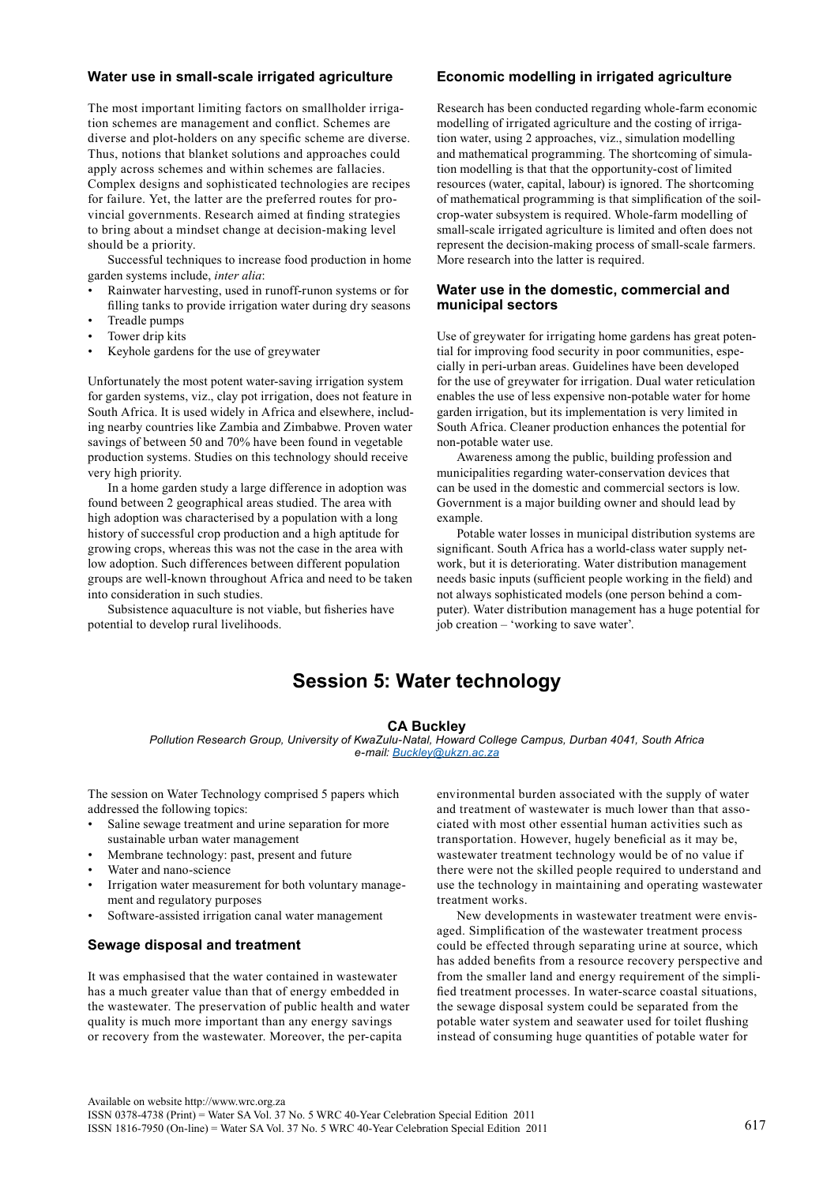## **Water use in small-scale irrigated agriculture**

The most important limiting factors on smallholder irrigation schemes are management and conflict. Schemes are diverse and plot-holders on any specific scheme are diverse. Thus, notions that blanket solutions and approaches could apply across schemes and within schemes are fallacies. Complex designs and sophisticated technologies are recipes for failure. Yet, the latter are the preferred routes for provincial governments. Research aimed at finding strategies to bring about a mindset change at decision-making level should be a priority.

Successful techniques to increase food production in home garden systems include, *inter alia*:

- Rainwater harvesting, used in runoff-runon systems or for filling tanks to provide irrigation water during dry seasons
- Treadle pumps
- Tower drip kits
- Keyhole gardens for the use of greywater

Unfortunately the most potent water-saving irrigation system for garden systems, viz., clay pot irrigation, does not feature in South Africa. It is used widely in Africa and elsewhere, including nearby countries like Zambia and Zimbabwe. Proven water savings of between 50 and 70% have been found in vegetable production systems. Studies on this technology should receive very high priority.

In a home garden study a large difference in adoption was found between 2 geographical areas studied. The area with high adoption was characterised by a population with a long history of successful crop production and a high aptitude for growing crops, whereas this was not the case in the area with low adoption. Such differences between different population groups are well-known throughout Africa and need to be taken into consideration in such studies.

Subsistence aquaculture is not viable, but fisheries have potential to develop rural livelihoods.

#### **Economic modelling in irrigated agriculture**

Research has been conducted regarding whole-farm economic modelling of irrigated agriculture and the costing of irrigation water, using 2 approaches, viz., simulation modelling and mathematical programming. The shortcoming of simulation modelling is that that the opportunity-cost of limited resources (water, capital, labour) is ignored. The shortcoming of mathematical programming is that simplification of the soilcrop-water subsystem is required. Whole-farm modelling of small-scale irrigated agriculture is limited and often does not represent the decision-making process of small-scale farmers. More research into the latter is required.

#### **Water use in the domestic, commercial and municipal sectors**

Use of greywater for irrigating home gardens has great potential for improving food security in poor communities, especially in peri-urban areas. Guidelines have been developed for the use of greywater for irrigation. Dual water reticulation enables the use of less expensive non-potable water for home garden irrigation, but its implementation is very limited in South Africa. Cleaner production enhances the potential for non-potable water use.

Awareness among the public, building profession and municipalities regarding water-conservation devices that can be used in the domestic and commercial sectors is low. Government is a major building owner and should lead by example.

Potable water losses in municipal distribution systems are significant. South Africa has a world-class water supply network, but it is deteriorating. Water distribution management needs basic inputs (sufficient people working in the field) and not always sophisticated models (one person behind a computer). Water distribution management has a huge potential for job creation – 'working to save water'.

## **Session 5: Water technology**

#### **CA Buckley**

*Pollution Research Group, University of KwaZulu-Natal, Howard College Campus, Durban 4041, South Africa e-mail: [Buckley@ukzn.ac.za](mailto:Buckley@ukzn.ac.za)*

The session on Water Technology comprised 5 papers which addressed the following topics:

- Saline sewage treatment and urine separation for more sustainable urban water management
- Membrane technology: past, present and future
- Water and nano-science
- Irrigation water measurement for both voluntary management and regulatory purposes
- Software-assisted irrigation canal water management

### **Sewage disposal and treatment**

It was emphasised that the water contained in wastewater has a much greater value than that of energy embedded in the wastewater. The preservation of public health and water quality is much more important than any energy savings or recovery from the wastewater. Moreover, the per-capita

environmental burden associated with the supply of water and treatment of wastewater is much lower than that associated with most other essential human activities such as transportation. However, hugely beneficial as it may be, wastewater treatment technology would be of no value if there were not the skilled people required to understand and use the technology in maintaining and operating wastewater treatment works.

New developments in wastewater treatment were envisaged. Simplification of the wastewater treatment process could be effected through separating urine at source, which has added benefits from a resource recovery perspective and from the smaller land and energy requirement of the simplified treatment processes. In water-scarce coastal situations, the sewage disposal system could be separated from the potable water system and seawater used for toilet flushing instead of consuming huge quantities of potable water for